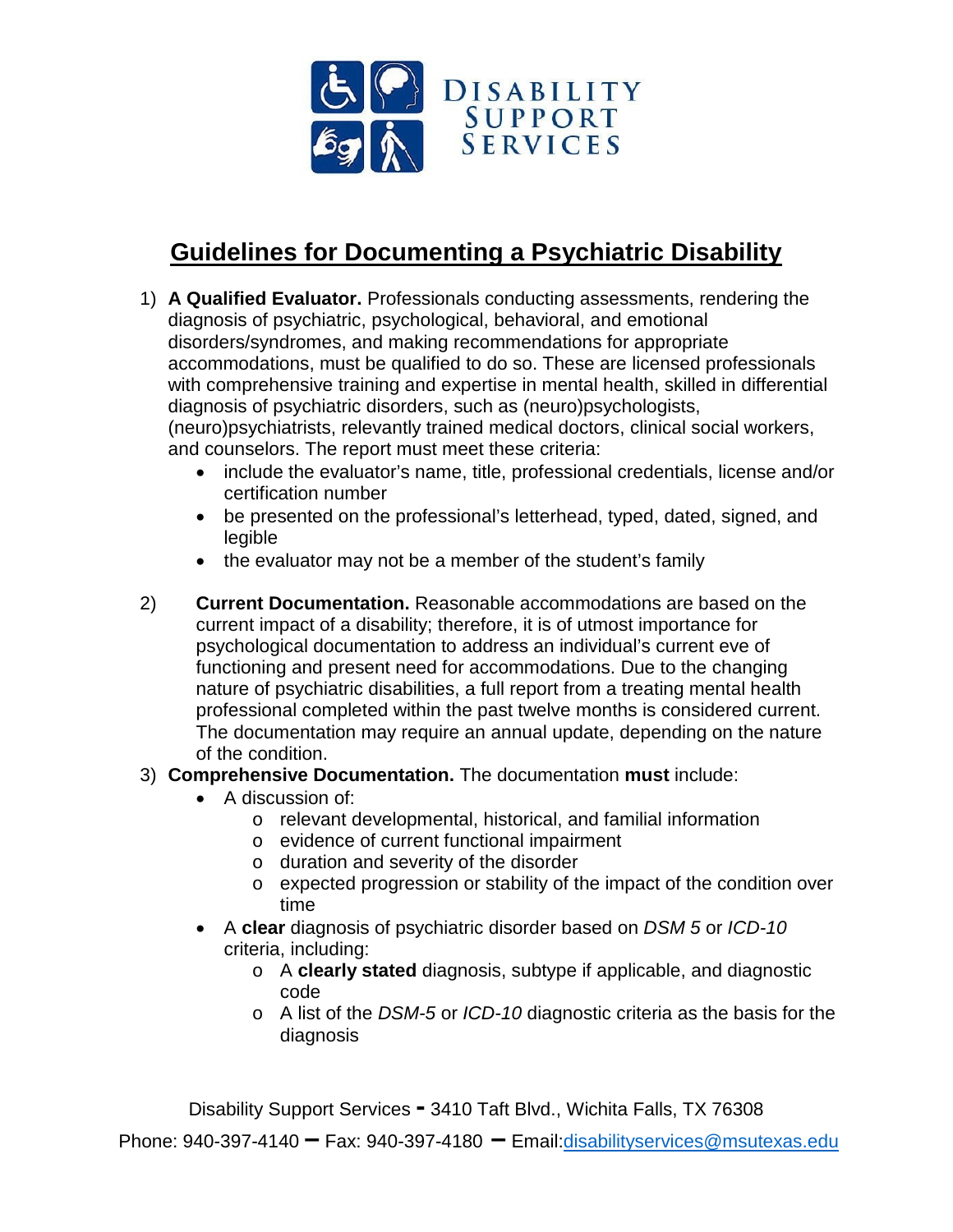

## **Guidelines for Documenting a Psychiatric Disability**

- 1) **A Qualified Evaluator.** Professionals conducting assessments, rendering the diagnosis of psychiatric, psychological, behavioral, and emotional disorders/syndromes, and making recommendations for appropriate accommodations, must be qualified to do so. These are licensed professionals with comprehensive training and expertise in mental health, skilled in differential diagnosis of psychiatric disorders, such as (neuro)psychologists, (neuro)psychiatrists, relevantly trained medical doctors, clinical social workers, and counselors. The report must meet these criteria:
	- include the evaluator's name, title, professional credentials, license and/or certification number
	- be presented on the professional's letterhead, typed, dated, signed, and legible
	- the evaluator may not be a member of the student's family
- 2) **Current Documentation.** Reasonable accommodations are based on the current impact of a disability; therefore, it is of utmost importance for psychological documentation to address an individual's current eve of functioning and present need for accommodations. Due to the changing nature of psychiatric disabilities, a full report from a treating mental health professional completed within the past twelve months is considered current. The documentation may require an annual update, depending on the nature of the condition.

## 3) **Comprehensive Documentation.** The documentation **must** include:

- A discussion of:
	- o relevant developmental, historical, and familial information
	- o evidence of current functional impairment
	- o duration and severity of the disorder
	- o expected progression or stability of the impact of the condition over time
- A **clear** diagnosis of psychiatric disorder based on *DSM 5* or *ICD-10* criteria, including:
	- o A **clearly stated** diagnosis, subtype if applicable, and diagnostic code
	- o A list of the *DSM-5* or *ICD-10* diagnostic criteria as the basis for the diagnosis

Disability Support Services **-** 3410 Taft Blvd., Wichita Falls, TX 76308

Phone: 940-397-4140 <sup>-</sup> Fax: 940-397-4180 <sup>-</sup> Email:*disabilityservices@msutexas.edu*